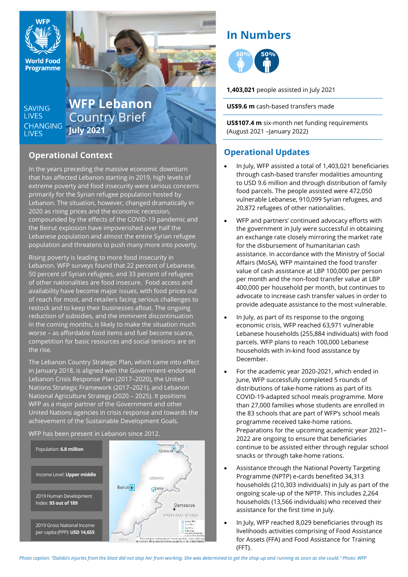

**Programme** 

**SAVING LIVES CHANGING LIVES** 

# **WFP Lebanon** Country Brief **July 2021**

## **Operational Context**

In the years preceding the massive economic downturn that has affected Lebanon starting in 2019, high levels of extreme poverty and food insecurity were serious concerns primarily for the Syrian refugee population hosted by Lebanon. The situation, however, changed dramatically in 2020 as rising prices and the economic recession, compounded by the effects of the COVID-19 pandemic and the Beirut explosion have impoverished over half the Lebanese population and almost the entire Syrian refugee population and threatens to push many more into poverty.

Rising poverty is leading to more food insecurity in Lebanon. WFP surveys found that 22 percent of Lebanese, 50 percent of Syrian refugees, and 33 percent of refugees of other nationalities are food insecure. Food access and availability have become major issues, with food prices out of reach for most, and retailers facing serious challenges to restock and to keep their businesses afloat. The ongoing reduction of subsidies, and the imminent discontinuation in the coming months, is likely to make the situation much worse – as affordable food items and fuel become scarce, competition for basic resources and social tensions are on the rise.

The Lebanon Country Strategic Plan, which came into effect in January 2018, is aligned with the Government-endorsed Lebanon Crisis Response Plan (2017–2020), the United Nations Strategic Framework (2017–2021), and Lebanon National Agriculture Strategy (2020 – 2025). It positions WFP as a major partner of the Government and other United Nations agencies in crisis response and towards the achievement of the Sustainable Development Goals.

WFP has been present in Lebanon since 2012.



## **In Numbers**

нин



**1,403,021** people assisted in July 2021

**US\$9.6 m** cash-based transfers made

**US\$107.4 m** six-month net funding requirements (August 2021 –January 2022)

## **Operational Updates**

- In July, WFP assisted a total of 1,403,021 beneficiaries through cash-based transfer modalities amounting to USD 9.6 million and through distribution of family food parcels. The people assisted were 472,050 vulnerable Lebanese, 910,099 Syrian refugees, and 20,872 refugees of other nationalities.
- WFP and partners' continued advocacy efforts with the government in July were successful in obtaining an exchange rate closely mirroring the market rate for the disbursement of humanitarian cash assistance. In accordance with the Ministry of Social Affairs (MoSA), WFP maintained the food transfer value of cash assistance at LBP 100,000 per person per month and the non-food transfer value at LBP 400,000 per household per month, but continues to advocate to increase cash transfer values in order to provide adequate assistance to the most vulnerable.
- In July, as part of its response to the ongoing economic crisis, WFP reached 63,971 vulnerable Lebanese households (255,884 individuals) with food parcels. WFP plans to reach 100,000 Lebanese households with in-kind food assistance by December.
- For the academic year 2020-2021, which ended in June, WFP successfully completed 5 rounds of distributions of take-home rations as part of its COVID-19-adapted school meals programme. More than 27,000 families whose students are enrolled in the 83 schools that are part of WFP's school meals programme received take-home rations. Preparations for the upcoming academic year 2021– 2022 are ongoing to ensure that beneficiaries continue to be assisted either through regular school snacks or through take-home rations.
- Assistance through the National Poverty Targeting Programme (NPTP) e-cards benefited 34,313 households (210,303 individuals) in July as part of the ongoing scale-up of the NPTP. This includes 2,264 households (13,566 individuals) who received their assistance for the first time in July.
- In July, WFP reached 8,029 beneficiaries through its livelihoods activities comprising of Food Assistance for Assets (FFA) and Food Assistance for Training (FFT).